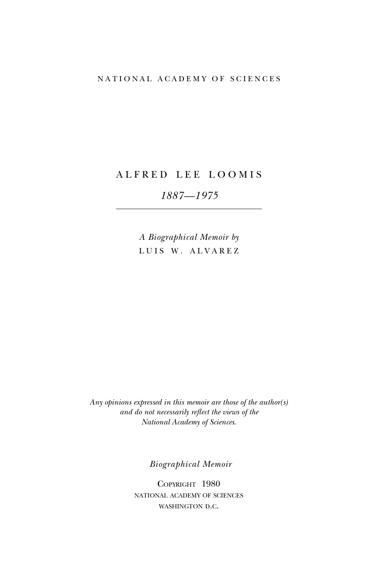## NATIONAL ACADEMY OF SCIENCES

## ALFRED LEE LOOMIS

# *1887—1975*

*A Biographical Memoir by* LUIS W. ALVAREZ

*Any opinions expressed in this memoir are those of the author(s) and do not necessarily reflect the views of the National Academy of Sciences*.

*Biographical Memoir*

COPYRIGHT 1980 NATIONAL ACADEMY OF SCIENCES WASHINGTON <sup>D</sup>.C.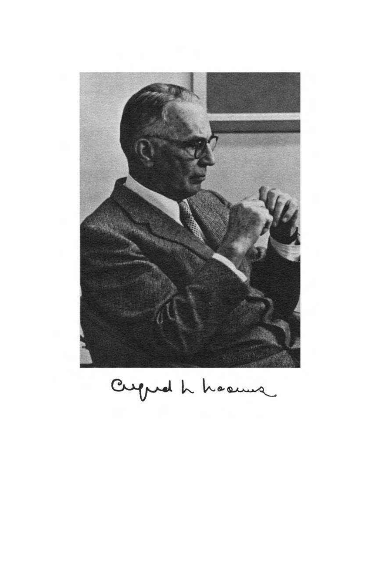

Cupid h hosurs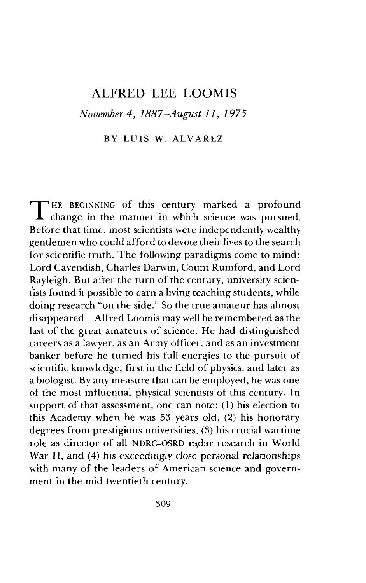# ALFRED LEE LOOMIS

*November 4, 1887-August 11, 1975*

BY LUIS W. ALVAREZ

THE BEGINNING of this century marked a profound change in the manner in which science was pursued. **L** change in the manner in which science was pursued. Before that time, most scientists were independently wealthy gentlemen who could afford to devote their lives to the search for scientific truth. The following paradigms come to mind: Lord Cavendish, Charles Darwin, Count Rumford, and Lord Rayleigh. But after the turn of the century, university scientists found it possible to earn a living teaching students, while doing research "on the side." So the true amateur has almost disappeared—Alfred Loomis may well be remembered as the last of the great amateurs of science. He had distinguished careers as a lawyer, as an Army officer, and as an investment banker before he turned his full energies to the pursuit of scientific knowledge, first in the field of physics, and later as a biologist. By any measure that can be employed, he was one of the most influential physical scientists of this century. In support of that assessment, one can note: (1) his election to this Academy when he was 53 years old, (2) his honorary degrees from prestigious universities, (3) his crucial wartime role as director of all NDRC-OSRD radar research in World War II, and (4) his exceedingly close personal relationships with many of the leaders of American science and government in the mid-twentieth century.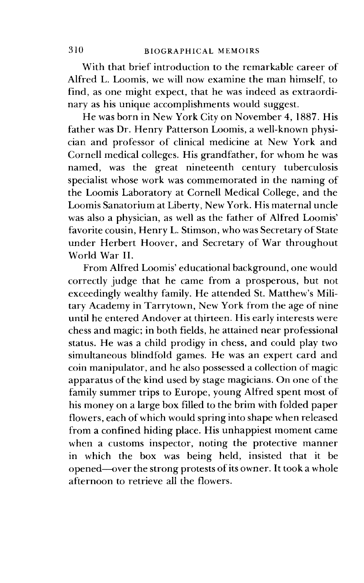With that brief introduction to the remarkable career of Alfred L. Loomis, we will now examine the man himself, to find, as one might expect, that he was indeed as extraordinary as his unique accomplishments would suggest.

He was born in New York City on November 4, 1887. His father was Dr. Henry Patterson Loomis, a well-known physician and professor of clinical medicine at New York and Cornell medical colleges. His grandfather, for whom he was named, was the great nineteenth century tuberculosis specialist whose work was commemorated in the naming of the Loomis Laboratory at Cornell Medical College, and the Loomis Sanatorium at Liberty, New York. His maternal uncle was also a physician, as well as the father of Alfred Loomis' favorite cousin, Henry L. Stimson, who was Secretary of State under Herbert Hoover, and Secretary of War throughout World War II.

From Alfred Loomis' educational background, one would correctly judge that he came from a prosperous, but not exceedingly wealthy family. He attended St. Matthew's Military Academy in Tarrytown, New York from the age of nine until he entered Andover at thirteen. His early interests were chess and magic; in both fields, he attained near professional status. He was a child prodigy in chess, and could play two simultaneous blindfold games. He was an expert card and coin manipulator, and he also possessed a collection of magic apparatus of the kind used by stage magicians. On one of the family summer trips to Europe, young Alfred spent most of his money on a large box filled to the brim with folded paper flowers, each of which would spring into shape when released from a confined hiding place. His unhappiest moment came when a customs inspector, noting the protective manner in which the box was being held, insisted that it be opened—over the strong protests of its owner. It took a whole afternoon to retrieve all the flowers.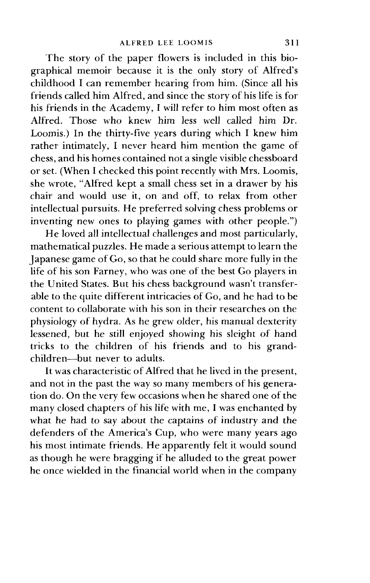The story of the paper flowers is included in this biographical memoir because it is the only story of Alfred's childhood I can remember hearing from him. (Since all his friends called him Alfred, and since the story of his life is for his friends in the Academy, I will refer to him most often as Alfred. Those who knew him less well called him Dr. Loomis.) In the thirty-five years during which I knew him rather intimately, I never heard him mention the game of chess, and his homes contained not a single visible chessboard or set. (When I checked this point recently with Mrs. Loomis, she wrote, "Alfred kept a small chess set in a drawer by his chair and would use it, on and off, to relax from other intellectual pursuits. He preferred solving chess problems or inventing new ones to playing games with other people.")

He loved all intellectual challenges and most particularly, mathematical puzzles. He made a serious attempt to learn the Japanese game of Go, so that he could share more fully in the life of his son Farney, who was one of the best Go players in the United States. But his chess background wasn't transferable to the quite different intricacies of Go, and he had to be content to collaborate with his son in their researches on the physiology of hydra. As he grew older, his manual dexterity lessened, but he still enjoyed showing his sleight of hand tricks to the children of his friends and to his grandchildren—but never to adults.

It was characteristic of Alfred that he lived in the present, and not in the past the way so many members of his generation do. On the very few occasions when he shared one of the many closed chapters of his life with me, I was enchanted by what he had to say about the captains of industry and the defenders of the America's Cup, who were many years ago his most intimate friends. He apparently felt it would sound as though he were bragging if he alluded to the great power he once wielded in the financial world when in the company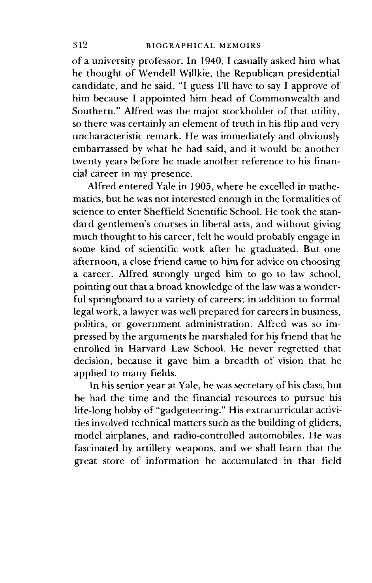of a university professor. In 1940, I casually asked him what he thought of Wendell Willkie, the Republican presidential candidate, and he said, "I guess I'll have to say I approve of him because I appointed him head of Commonwealth and Southern." Alfred was the major stockholder of that utility, so there was certainly an element of truth in his flip and very uncharacteristic remark. He was immediately and obviously embarrassed by what he had said, and it would be another twenty years before he made another reference to his financial career in my presence.

Alfred entered Yale in 1905, where he excelled in mathematics, but he was not interested enough in the formalities of science to enter Sheffield Scientific School. He took the standard gentlemen's courses in liberal arts, and without giving much thought to his career, felt he would probably engage in some kind of scientific work after he graduated. But one afternoon, a close friend came to him for advice on choosing a career. Alfred strongly urged him to go to law school, pointing out that a broad knowledge of the law was a wonderful springboard to a variety of careers; in addition to formal legal work, a lawyer was well prepared for careers in business, politics, or government administration. Alfred was so impressed by the arguments he marshaled for his friend that he enrolled in Harvard Law School. He never regretted that decision, because it gave him a breadth of vision that he applied to many fields.

In his senior year at Yale, he was secretary of his class, but he had the time and the financial resources to pursue his life-long hobby of "gadgeteering." His extracurricular activities involved technical matters such as the building of gliders, model airplanes, and radio-controlled automobiles. He was fascinated by artillery weapons, and we shall learn that the great store of information he accumulated in that field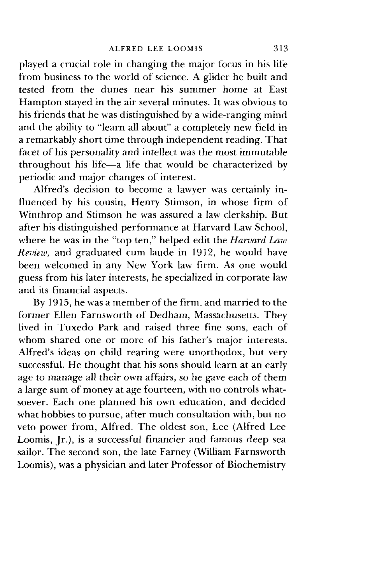played a crucial role in changing the major focus in his life from business to the world of science. A glider he built and tested from the dunes near his summer home at East Hampton stayed in the air several minutes. It was obvious to his friends that he was distinguished by a wide-ranging mind and the ability to "learn all about" a completely new field in a remarkably short time through independent reading. That facet of his personality and intellect was the most immutable throughout his life—a life that would be characterized by periodic and major changes of interest.

Alfred's decision to become a lawyer was certainly influenced by his cousin, Henry Stimson, in whose firm of Winthrop and Stimson he was assured a law clerkship. But after his distinguished performance at Harvard Law School, where he was in the "top ten," helped edit the *Harvard Law Review,* and graduated cum laude in 1912, he would have been welcomed in any New York law firm. As one would guess from his later interests, he specialized in corporate law and its financial aspects.

By 1915, he was a member of the firm, and married to the former Ellen Farnsworth of Dedham, Massachusetts. They lived in Tuxedo Park and raised three fine sons, each of whom shared one or more of his father's major interests. Alfred's ideas on child rearing were unorthodox, but very successful. He thought that his sons should learn at an early age to manage all their own affairs, so he gave each of them a large sum of money at age fourteen, with no controls whatsoever. Each one planned his own education, and decided what hobbies to pursue, after much consultation with, but no veto power from, Alfred. The oldest son, Lee (Alfred Lee Loomis, Jr.), is a successful financier and famous deep sea sailor. The second son, the late Farney (William Farnsworth Loomis), was a physician and later Professor of Biochemistry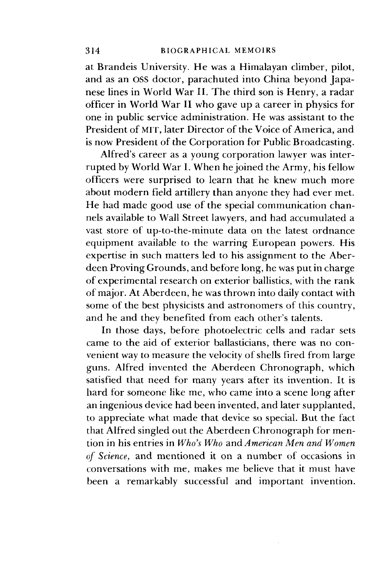at Brandeis University. He was a Himalayan climber, pilot, and as an OSS doctor, parachuted into China beyond Japanese lines in World War II. The third son is Henry, a radar officer in World War II who gave up a career in physics for one in public service administration. He was assistant to the President of MIT, later Director of the Voice of America, and is now President of the Corporation for Public Broadcasting.

Alfred's career as a young corporation lawyer was interrupted by World War I. When he joined the Army, his fellow officers were surprised to learn that he knew much more about modern field artillery than anyone they had ever met. He had made good use of the special communication channels available to Wall Street lawyers, and had accumulated a vast store of up-to-the-minute data on the latest ordnance equipment available to the warring European powers. His expertise in such matters led to his assignment to the Aberdeen Proving Grounds, and before long, he was put in charge of experimental research on exterior ballistics, with the rank of major. At Aberdeen, he was thrown into daily contact with some of the best physicists and astronomers of this country, and he and they benefited from each other's talents.

In those days, before photoelectric cells and radar sets came to the aid of exterior ballasticians, there was no convenient way to measure the velocity of shells fired from large guns. Alfred invented the Aberdeen Chronograph, which satisfied that need for many years after its invention. It is hard for someone like me, who came into a scene long after an ingenious device had been invented, and later supplanted, to appreciate what made that device so special. But the fact that Alfred singled out the Aberdeen Chronograph for mention in his entries in *Who's Who* and *American Men and Women of Science,* and mentioned it on a number of occasions in conversations with me, makes me believe that it must have been a remarkably successful and important invention.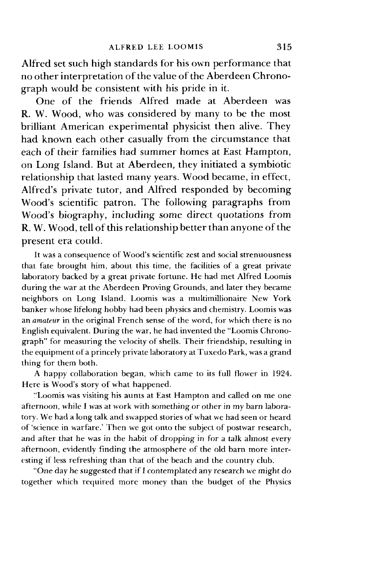Alfred set such high standards for his own performance that no other interpretation of the value of the Aberdeen Chronograph would be consistent with his pride in it.

One of the friends Alfred made at Aberdeen was R. W. Wood, who was considered by many to be the most brilliant American experimental physicist then alive. They had known each other casually from the circumstance that each of their families had summer homes at East Hampton, on Long Island. But at Aberdeen, they initiated a symbiotic relationship that lasted many years. Wood became, in effect, Alfred's private tutor, and Alfred responded by becoming Wood's scientific patron. The following paragraphs from Wood's biography, including some direct quotations from R. W. Wood, tell of this relationship better than anyone of the present era could.

It was a consequence of Wood's scientific zest and social strenuousness that fate brought him, about this time, the facilities of a great private laboratory backed by a great private fortune. He had met Alfred Loomis during the war at the Aberdeen Proving Grounds, and later they became neighbors on Long Island. Loomis was a multimillionaire New York banker whose lifelong hobby had been physics and chemistry. Loomis was an *amateur* in the original French sense of the word, for which there is no English equivalent. During the war, he had invented the "Loomis Chronograph" for measuring the velocity of shells. Their friendship, resulting in the equipment of a princely private laboratory at Tuxedo Park, was a grand thing for them both.

A happy collaboration began, which came to its full flower in 1924. Here is Wood's story of what happened.

"Loomis was visiting his aunts at East Hampton and called on me one afternoon, while I was at work with something or other in my barn laboratory. We had a long talk and swapped stories of what we had seen or heard of 'science in warfare.' Then we got onto the subject of postwar research, and after that he was in the habit of dropping in for a talk almost every afternoon, evidently finding the atmosphere of the old barn more interesting if less refreshing than that of the beach and the country club.

"One day he suggested that if I contemplated any research we might do together which required more money than the budget of the Physics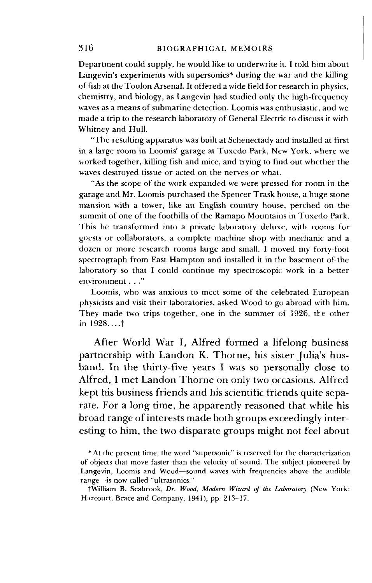Department could supply, he would like to underwrite it. I told him about Langevin's experiments with supersonics\* during the war and the killing of fish at the Toulon Arsenal. It offered a wide field for research in physics, chemistry, and biology, as Langevin had studied only the high-frequency waves as a means of submarine detection. Loomis was enthusiastic, and we made a trip to the research laboratory of General Electric to discuss it with Whitney and Hull.

"The resulting apparatus was built at Schenectady and installed at first in a large room in Loomis' garage at Tuxedo Park, New York, where we worked together, killing fish and mice, and trying to find out whether the waves destroyed tissue or acted on the nerves or what.

"As the scope of the work expanded we were pressed for room in the garage and Mr. Loomis purchased the Spencer Trask house, a huge stone mansion with a tower, like an English country house, perched on the summit of one of the foothills of the Ramapo Mountains in Tuxedo Park. This he transformed into a private laboratory deluxe, with rooms for guests or collaborators, a complete machine shop with mechanic and a dozen or more research rooms large and small. I moved my forty-foot spectrograph from East Hampton and installed it in the basement of the laboratory so that I could continue my spectroscopic work in a better environment . . ."

Loomis, who was anxious to meet some of the celebrated European physicists and visit their laboratories, asked Wood to go abroad with him. They made two trips together, one in the summer of 1926, the other in 1928....<sup>†</sup>

After World War I, Alfred formed a lifelong business partnership with Landon K. Thorne, his sister Julia's husband. In the thirty-five years I was so personally close to Alfred, I met Landon Thorne on only two occasions. Alfred kept his business friends and his scientific friends quite separate. For a long time, he apparently reasoned that while his broad range of interests made both groups exceedingly interesting to him, the two disparate groups might not feel about

\* At the present time, the word "supersonic" is reserved for the characterization of objects that move faster than the velocity of sound. The subject pioneered by Langevin, Loomis and Wood—sound waves with frequencies above the audible range—is now called "ultrasonics."

tWilliam B. Seabrook, *Dr. Wood, Modern Wizard of the Laboratory* (New York: Harcourt, Brace and Company, 1941), pp. 213-17.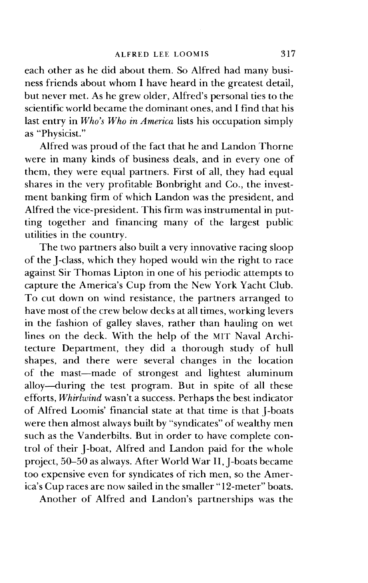each other as he did about them. So Alfred had many business friends about whom I have heard in the greatest detail, but never met. As he grew older, Alfred's personal ties to the scientific world became the dominant ones, and I find that his last entry in *Who's Who in America* lists his occupation simply as "Physicist."

Alfred was proud of the fact that he and Landon Thorne were in many kinds of business deals, and in every one of them, they were equal partners. First of all, they had equal shares in the very profitable Bonbright and Co., the investment banking firm of which Landon was the president, and Alfred the vice-president. This firm was instrumental in putting together and financing many of the largest public utilities in the country.

The two partners also built a very innovative racing sloop of the J-class, which they hoped would win the right to race against Sir Thomas Lipton in one of his periodic attempts to capture the America's Cup from the New York Yacht Club. To cut down on wind resistance, the partners arranged to have most of the crew below decks at all times, working levers in the fashion of galley slaves, rather than hauling on wet lines on the deck. With the help of the MIT Naval Architecture Department, they did a thorough study of hull shapes, and there were several changes in the location of the mast—made of strongest and lightest aluminum alloy—during the test program. But in spite of all these efforts, *Whirlwind* wasn't a success. Perhaps the best indicator of Alfred Loomis' financial state at that time is that J-boats were then almost always built by "syndicates" of wealthy men such as the Vanderbilts. But in order to have complete control of their J-boat, Alfred and Landon paid for the whole project, 50-50 as always. After World War II, J-boats became too expensive even for syndicates of rich men, so the America's Cup races are now sailed in the smaller "12-meter" boats.

Another of Alfred and Landon's partnerships was the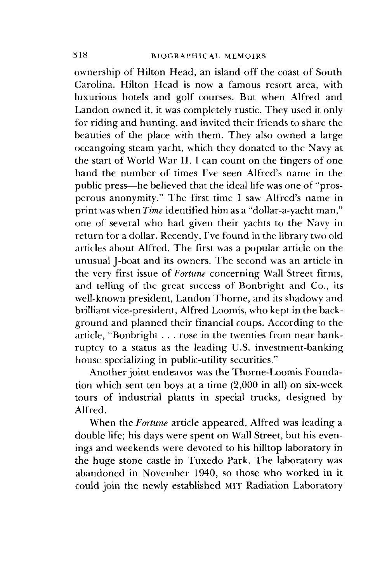ownership of Hilton Head, an island off the coast of South Carolina. Hilton Head is now a famous resort area, with luxurious hotels and golf courses. But when Alfred and Landon owned it, it was completely rustic. They used it only for riding and hunting, and invited their friends to share the beauties of the place with them. They also owned a large oceangoing steam yacht, which they donated to the Navy at the start of World War II. I can count on the fingers of one hand the number of times I've seen Alfred's name in the public press—he believed that the ideal life was one of "prosperous anonymity." The first time I saw Alfred's name in print was when *Time* identified him as a "dollar-a-yacht man," one of several who had given their yachts to the Navy in return for a dollar. Recently, I've found in the library two old articles about Alfred. The first was a popular article on the unusual J-boat and its owners. The second was an article in the very first issue of *Fortune* concerning Wall Street firms, and telling of the great success of Bonbright and Co., its well-known president, Landon Thorne, and its shadowy and brilliant vice-president, Alfred Loomis, who kept in the background and planned their financial coups. According to the article, "Bonbright . . . rose in the twenties from near bankruptcy to a status as the leading U.S. investment-banking house specializing in public-utility securities."

Another joint endeavor was the Thorne-Loomis Foundation which sent ten boys at a time (2,000 in all) on six-week tours of industrial plants in special trucks, designed by Alfred.

When the *Fortune* article appeared, Alfred was leading a double life; his days were spent on Wall Street, but his evenings and weekends were devoted to his hilltop laboratory in the huge stone castle in Tuxedo Park. The laboratory was abandoned in November 1940, so those who worked in it could join the newly established MIT Radiation Laboratory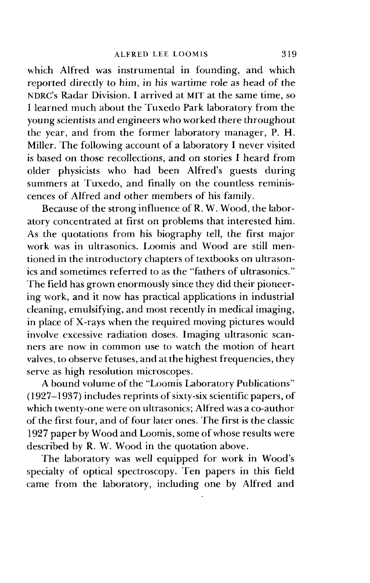which Alfred was instrumental in founding, and which reported directly to him, in his wartime role as head of the NDRC's Radar Division. I arrived at MIT at the same time, so I learned much about the Tuxedo Park laboratory from the young scientists and engineers who worked there throughout the year, and from the former laboratory manager, P. H. Miller. The following account of a laboratory I never visited is based on those recollections, and on stories I heard from older physicists who had been Alfred's guests during summers at Tuxedo, and finally on the countless reminiscences of Alfred and other members of his family.

Because of the strong influence of R. W. Wood, the laboratory concentrated at first on problems that interested him. As the quotations from his biography tell, the first major work was in ultrasonics. Loomis and Wood are still mentioned in the introductory chapters of textbooks on ultrasonics and sometimes referred to as the "fathers of ultrasonics." The field has grown enormously since they did their pioneering work, and it now has practical applications in industrial cleaning, emulsifying, and most recently in medical imaging, in place of X-rays when the required moving pictures would involve excessive radiation doses. Imaging ultrasonic scanners are now in common use to watch the motion of heart valves, to observe fetuses, and at the highest frequencies, they serve as high resolution microscopes.

A bound volume of the "Loomis Laboratory Publications" (1927-1937) includes reprints of sixty-six scientific papers, of which twenty-one were on ultrasonics; Alfred was a co-author of the first four, and of four later ones. The first is the classic 1927 paper by Wood and Loomis, some of whose results were described by R. W. Wood in the quotation above.

The laboratory was well equipped for work in Wood's specialty of optical spectroscopy. Ten papers in this field came from the laboratory, including one by Alfred and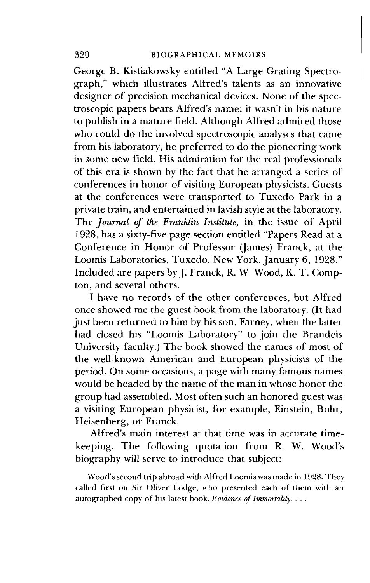George B. Kistiakowsky entitled "A Large Grating Spectrograph," which illustrates Alfred's talents as an innovative designer of precision mechanical devices. None of the spectroscopic papers bears Alfred's name; it wasn't in his nature to publish in a mature field. Although Alfred admired those who could do the involved spectroscopic analyses that came from his laboratory, he preferred to do the pioneering work in some new field. His admiration for the real professionals of this era is shown by the fact that he arranged a series of conferences in honor of visiting European physicists. Guests at the conferences were transported to Tuxedo Park in a private train, and entertained in lavish style at the laboratory. The *Journal of the Franklin Institute,* in the issue of April 1928, has a sixty-five page section entitled "Papers Read at a Conference in Honor of Professor (James) Franck, at the Loomis Laboratories, Tuxedo, New York, January 6, 1928." Included are papers by J. Franck, R. W. Wood, K. T. Compton, and several others.

I have no records of the other conferences, but Alfred once showed me the guest book from the laboratory. (It had just been returned to him by his son, Farney, when the latter had closed his "Loomis Laboratory" to join the Brandeis University faculty.) The book showed the names of most of the well-known American and European physicists of the period. On some occasions, a page with many famous names would be headed by the name of the man in whose honor the group had assembled. Most often such an honored guest was a visiting European physicist, for example, Einstein, Bohr, Heisenberg, or Franck.

Alfred's main interest at that time was in accurate timekeeping. The following quotation from R. W. Wood's biography will serve to introduce that subject:

Wood's second trip abroad with Alfred Loomis was made in 1928. They called first on Sir Oliver Lodge, who presented each of them with an autographed copy of his latest book, *Evidence of Immortality. . . .*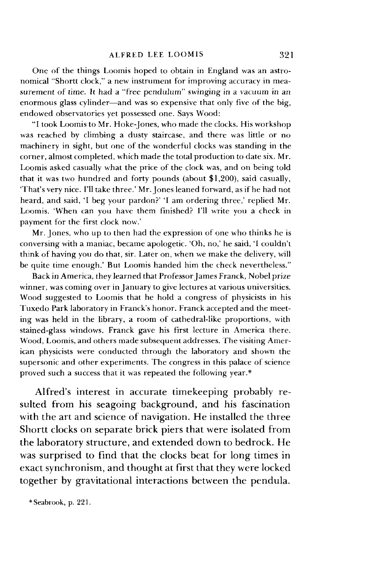One of the things Loomis hoped to obtain in England was an astronomical "Shortt clock," a new instrument for improving accuracy in measurement of time. It had a "free pendulum" swinging in a vacuum in an enormous glass cylinder—and was so expensive that only five of the big, endowed observatories yet possessed one. Says Wood:

"I took Loomis to Mr. Hoke-Jones, who made the clocks. His workshop was reached by climbing a dusty staircase, and there was little or no machinery in sight, but one of the wonderful clocks was standing in the corner, almost completed, which made the total production to date six. Mr. Loomis asked casually what the price of the clock was, and on being told that it was two hundred and forty pounds (about \$1,200), said casually, 'That's very nice. I'll take three.' Mr. Jones leaned forward, as if he had not heard, and said, 'I beg your pardon?' 'I am ordering three,' replied Mr. Loomis. 'When can you have them finished? I'll write you a check in payment for the first clock now.'

Mr. Jones, who up to then had the expression of one who thinks he is conversing with a maniac, became apologetic. 'Oh, no,' he said, 'I couldn't think of having you do that, sir. Later on, when we make the delivery, will be quite time enough.' But Loomis handed him the check nevertheless."

Back in America, they learned that Professor James Franck, Nobel prize winner, was coming over in January to give lectures at various universities. Wood suggested to Loomis that he hold a congress of physicists in his Tuxedo Park laboratory in Franck's honor. Franck accepted and the meeting was held in the library, a room of cathedral-like proportions, with stained-glass windows. Franck gave his first lecture in America there. Wood, Loomis, and others made subsequent addresses. The visiting American physicists were conducted through the laboratory and shown the supersonic and other experiments. The congress in this palace of science proved such a success that it was repeated the following year.\*

Alfred's interest in accurate timekeeping probably resulted from his seagoing background, and his fascination with the art and science of navigation. He installed the three Shortt clocks on separate brick piers that were isolated from the laboratory structure, and extended down to bedrock. He was surprised to find that the clocks beat for long times in exact synchronism, and thought at first that they were locked together by gravitational interactions between the pendula.

<sup>\*</sup> Seabrook, p. 221.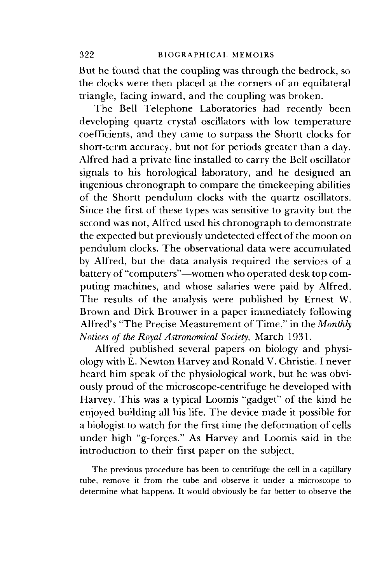But he found that the coupling was through the bedrock, so the clocks were then placed at the corners of an equilateral triangle, facing inward, and the coupling was broken.

The Bell Telephone Laboratories had recently been developing quartz crystal oscillators with low temperature coefficients, and they came to surpass the Shortt clocks for short-term accuracy, but not for periods greater than a day. Alfred had a private line installed to carry the Bell oscillator signals to his horological laboratory, and he designed an ingenious chronograph to compare the timekeeping abilities of the Shortt pendulum clocks with the quartz oscillators. Since the first of these types was sensitive to gravity but the second was not, Alfred used his chronograph to demonstrate the expected but previously undetected effect of the moon on pendulum clocks. The observational data were accumulated by Alfred, but the data analysis required the services of a battery of "computers"—women who operated desk top computing machines, and whose salaries were paid by Alfred. The results of the analysis were published by Ernest W. Brown and Dirk Brouwer in a paper immediately following Alfred's "The Precise Measurement of Time," in the *Monthly Notices of the Royal Astronomical Society,* March 1931.

Alfred published several papers on biology and physiology with E. Newton Harvey and Ronald V. Christie. I never heard him speak of the physiological work, but he was obviously proud of the microscope-centrifuge he developed with Harvey. This was a typical Loomis "gadget" of the kind he enjoyed building all his life. The device made it possible for a biologist to watch for the first time the deformation of cells under high "g-forces." As Harvey and Loomis said in the introduction to their first paper on the subject,

The previous procedure has been to centrifuge the cell in a capillary tube, remove it from the tube and observe it under a microscope to determine what happens. It would obviously be far better to observe the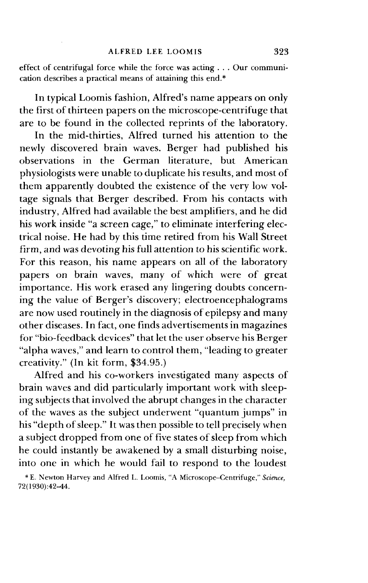effect of centrifugal force while the force was acting . . . Our communication describes a practical means of attaining this end.\*

In typical Loomis fashion, Alfred's name appears on only the first of thirteen papers on the microscope-centrifuge that are to be found in the collected reprints of the laboratory.

In the mid-thirties, Alfred turned his attention to the newly discovered brain waves. Berger had published his observations in the German literature, but American physiologists were unable to duplicate his results, and most of them apparently doubted the existence of the very low voltage signals that Berger described. From his contacts with industry, Alfred had available the best amplifiers, and he did his work inside "a screen cage," to eliminate interfering electrical noise. He had by this time retired from his Wall Street firm, and was devoting his full attention to his scientific work. For this reason, his name appears on all of the laboratory papers on brain waves, many of which were of great importance. His work erased any lingering doubts concerning the value of Berger's discovery; electroencephalograms are now used routinely in the diagnosis of epilepsy and many other diseases. In fact, one finds advertisements in magazines for "bio-feedback devices" that let the user observe his Berger "alpha waves," and learn to control them, "leading to greater creativity." (In kit form, \$34.95.)

Alfred and his co-workers investigated many aspects of brain waves and did particularly important work with sleeping subjects that involved the abrupt changes in the character of the waves as the subject underwent "quantum jumps" in his "depth of sleep." It was then possible to tell precisely when a subject dropped from one of five states of sleep from which he could instantly be awakened by a small disturbing noise, into one in which he would fail to respond to the loudest

<sup>\*</sup> E. Newton Harvey and Alfred L. Loomis, "A Microscope-Centrifuge," *Science,* 72(1930):42-44.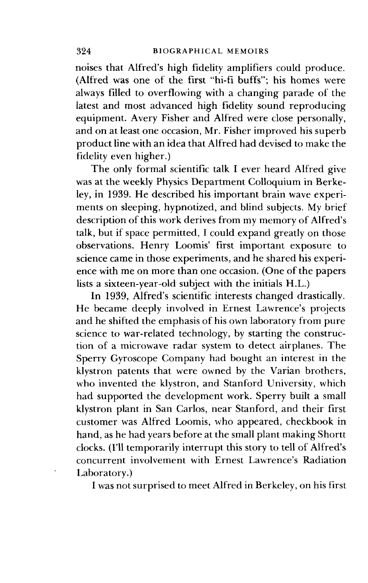noises that Alfred's high fidelity amplifiers could produce. (Alfred was one of the first "hi-fi buffs"; his homes were always filled to overflowing with a changing parade of the latest and most advanced high fidelity sound reproducing equipment. Avery Fisher and Alfred were close personally, and on at least one occasion, Mr. Fisher improved his superb product line with an idea that Alfred had devised to make the fidelity even higher.)

The only formal scientific talk I ever heard Alfred give was at the weekly Physics Department Colloquium in Berkeley, in 1939. He described his important brain wave experiments on sleeping, hypnotized, and blind subjects. My brief description of this work derives from my memory of Alfred's talk, but if space permitted, I could expand greatly on those observations. Henry Loomis' first important exposure to science came in those experiments, and he shared his experience with me on more than one occasion. (One of the papers lists a sixteen-year-old subject with the initials H.L.)

In 1939, Alfred's scientific interests changed drastically. He became deeply involved in Ernest Lawrence's projects and he shifted the emphasis of his own laboratory from pure science to war-related technology, by starting the construction of a microwave radar system to detect airplanes. The Sperry Gyroscope Company had bought an interest in the klystron patents that were owned by the Varian brothers, who invented the klystron, and Stanford University, which had supported the development work. Sperry built a small klystron plant in San Carlos, near Stanford, and their first customer was Alfred Loomis, who appeared, checkbook in hand, as he had years before at the small plant making Shortt clocks. (I'll temporarily interrupt this story to tell of Alfred's concurrent involvement with Ernest Lawrence's Radiation Laboratory.)

I was not surprised to meet Alfred in Berkeley, on his first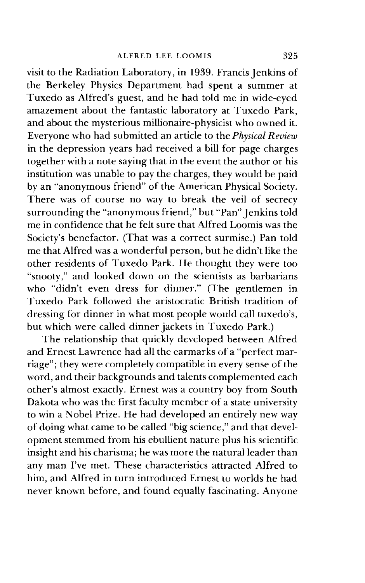visit to the Radiation Laboratory, in 1939. Francis Jenkins of the Berkeley Physics Department had spent a summer at Tuxedo as Alfred's guest, and he had told me in wide-eyed amazement about the fantastic laboratory at Tuxedo Park, and about the mysterious millionaire-physicist who owned it. Everyone who had submitted an article to the *Physical Review* in the depression years had received a bill for page charges together with a note saying that in the event the author or his institution was unable to pay the charges, they would be paid by an "anonymous friend" of the American Physical Society. There was of course no way to break the veil of secrecy surrounding the "anonymous friend," but "Pan" Jenkins told me in confidence that he felt sure that Alfred Loomis was the Society's benefactor. (That was a correct surmise.) Pan told me that Alfred was a wonderful person, but he didn't like the other residents of Tuxedo Park. He thought they were too "snooty," and looked down on the scientists as barbarians who "didn't even dress for dinner." (The gentlemen in Tuxedo Park followed the aristocratic British tradition of dressing for dinner in what most people would call tuxedo's, but which were called dinner jackets in Tuxedo Park.)

The relationship that quickly developed between Alfred and Ernest Lawrence had all the earmarks of a "perfect marriage"; they were completely compatible in every sense of the word, and their backgrounds and talents complemented each other's almost exactly. Ernest was a country boy from South Dakota who was the first faculty member of a state university to win a Nobel Prize. He had developed an entirely new way of doing what came to be called "big science," and that development stemmed from his ebullient nature plus his scientific insight and his charisma; he was more the natural leader than any man I've met. These characteristics attracted Alfred to him, and Alfred in turn introduced Ernest to worlds he had never known before, and found equally fascinating. Anyone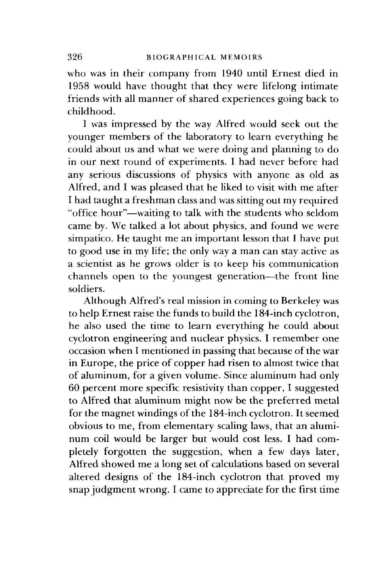who was in their company from 1940 until Ernest died in 1958 would have thought that they were lifelong intimate friends with all manner of shared experiences going back to childhood.

I was impressed by the way Alfred would seek out the younger members of the laboratory to learn everything he could about us and what we were doing and planning to do in our next round of experiments. I had never before had any serious discussions of physics with anyone as old as Alfred, and I was pleased that he liked to visit with me after I had taught a freshman class and was sitting out my required "office hour"—waiting to talk with the students who seldom came by. We talked a lot about physics, and found we were simpatico. He taught me an important lesson that I have put to good use in my life; the only way a man can stay active as a scientist as he grows older is to keep his communication channels open to the youngest generation—the front line soldiers.

Although Alfred's real mission in coming to Berkeley was to help Ernest raise the funds to build the 184-inch cyclotron, he also used the time to learn everything he could about cyclotron engineering and nuclear physics. I remember one occasion when I mentioned in passing that because of the war in Europe, the price of copper had risen to almost twice that of aluminum, for a given volume. Since aluminum had only 60 percent more specific resistivity than copper, I suggested to Alfred that aluminum might now be the preferred metal for the magnet windings of the 184-inch cyclotron. It seemed obvious to me, from elementary scaling laws, that an aluminum coil would be larger but would cost less. I had completely forgotten the suggestion, when a few days later, Alfred showed me a long set of calculations based on several altered designs of the 184-inch cyclotron that proved my snap judgment wrong. I came to appreciate for the first time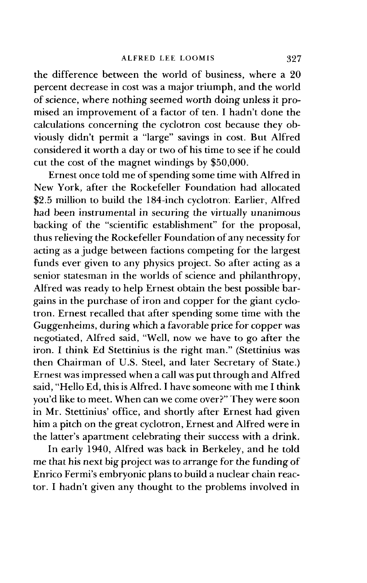the difference between the world of business, where a 20 percent decrease in cost was a major triumph, and the world of science, where nothing seemed worth doing unless it promised an improvement of a factor of ten. I hadn't done the calculations concerning the cyclotron cost because they obviously didn't permit a "large" savings in cost. But Alfred considered it worth a day or two of his time to see if he could cut the cost of the magnet windings by \$50,000.

Ernest once told me of spending some time with Alfred in New York, after the Rockefeller Foundation had allocated \$2.5 million to build the 184-inch cyclotron. Earlier, Alfred had been instrumental in securing the virtually unanimous backing of the "scientific establishment" for the proposal, thus relieving the Rockefeller Foundation of any necessity for acting as a judge between factions competing for the largest funds ever given to any physics project. So after acting as a senior statesman in the worlds of science and philanthropy, Alfred was ready to help Ernest obtain the best possible bargains in the purchase of iron and copper for the giant cyclotron. Ernest recalled that after spending some time with the Guggenheims, during which a favorable price for copper was negotiated, Alfred said, "Well, now we have to go after the iron. I think Ed Stettinius is the right man." (Stettinius was then Chairman of U.S. Steel, and later Secretary of State.) Ernest was impressed when a call was put through and Alfred said, "Hello Ed, this is Alfred. I have someone with me I think you'd like to meet. When can we come over?" They were soon in Mr. Stettinius' office, and shortly after Ernest had given him a pitch on the great cyclotron, Ernest and Alfred were in the latter's apartment celebrating their success with a drink.

In early 1940, Alfred was back in Berkeley, and he told me that his next big project was to arrange for the funding of Enrico Fermi's embryonic plans to build a nuclear chain reactor. I hadn't given any thought to the problems involved in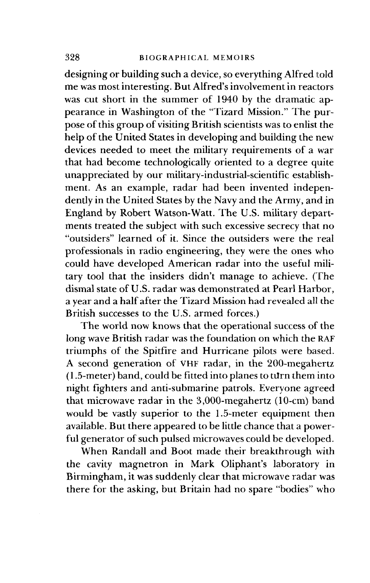designing or building such a device, so everything Alfred told me was most interesting. But Alfred's involvement in reactors was cut short in the summer of 1940 by the dramatic appearance in Washington of the "Tizard Mission." The purpose of this group of visiting British scientists was to enlist the help of the United States in developing and building the new devices needed to meet the military requirements of a war that had become technologically oriented to a degree quite unappreciated by our military-industrial-scientific establishment. As an example, radar had been invented independently in the United States by the Navy and the Army, and in England by Robert Watson-Watt. The U.S. military departments treated the subject with such excessive secrecy that no "outsiders" learned of it. Since the outsiders were the real professionals in radio engineering, they were the ones who could have developed American radar into the useful military tool that the insiders didn't manage to achieve. (The dismal state of U.S. radar was demonstrated at Pearl Harbor, a year and a half after the Tizard Mission had revealed all the British successes to the U.S. armed forces.)

The world now knows that the operational success of the long wave British radar was the foundation on which the RAF triumphs of the Spitfire and Hurricane pilots were based. A second generation of VHF radar, in the 200-megahertz  $(1.5\text{-meter})$  band, could be fitted into planes to turn them into night fighters and anti-submarine patrols. Everyone agreed that microwave radar in the 3,000-megahertz (10-cm) band would be vastly superior to the 1.5-meter equipment then available. But there appeared to be little chance that a powerful generator of such pulsed microwaves could be developed.

When Randall and Boot made their breakthrough with the cavity magnetron in Mark Oliphant's laboratory in Birmingham, it was suddenly clear that microwave radar was there for the asking, but Britain had no spare "bodies" who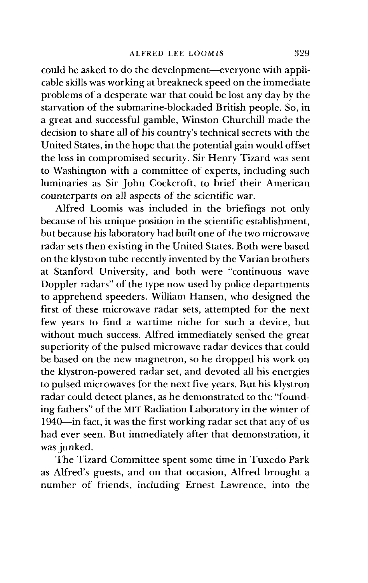could be asked to do the development—everyone with applicable skills was working at breakneck speed on the immediate problems of a desperate war that could be lost any day by the starvation of the submarine-blockaded British people. So, in a great and successful gamble, Winston Churchill made the decision to share all of his country's technical secrets with the United States, in the hope that the potential gain would offset the loss in compromised security. Sir Henry Tizard was sent to Washington with a committee of experts, including such luminaries as Sir John Cockcroft, to brief their American counterparts on all aspects of the scientific war.

Alfred Loomis was included in the briefings not only because of his unique position in the scientific establishment, but because his laboratory had built one of the two microwave radar sets then existing in the United States. Both were based on the klystron tube recently invented by the Varian brothers at Stanford University, and both were "continuous wave Doppler radars" of the type now used by police departments to apprehend speeders. William Hansen, who designed the first of these microwave radar sets, attempted for the next few years to find a wartime niche for such a device, but without much success. Alfred immediately sensed the great superiority of the pulsed microwave radar devices that could be based on the new magnetron, so he dropped his work on the klystron-powered radar set, and devoted all his energies to pulsed microwaves for the next five years. But his klystron radar could detect planes, as he demonstrated to the "founding fathers" of the MIT Radiation Laboratory in the winter of 1940—in fact, it was the first working radar set that any of us had ever seen. But immediately after that demonstration, it was junked.

The Tizard Committee spent some time in Tuxedo Park as Alfred's guests, and on that occasion, Alfred brought a number of friends, including Ernest Lawrence, into the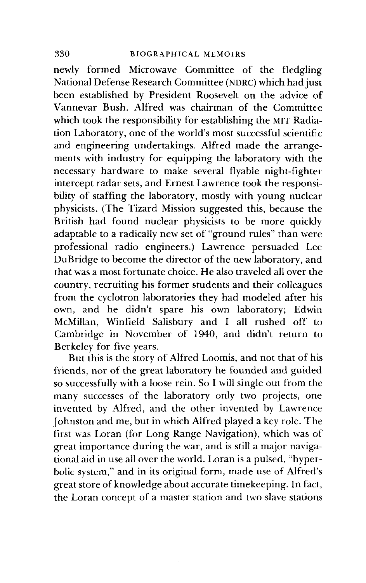newly formed Microwave Committee of the fledgling National Defense Research Committee (NDRC) which had just been established by President Roosevelt on the advice of Vannevar Bush. Alfred was chairman of the Committee which took the responsibility for establishing the MIT Radiation Laboratory, one of the world's most successful scientific and engineering undertakings. Alfred made the arrangements with industry for equipping the laboratory with the necessary hardware to make several flyable night-fighter intercept radar sets, and Ernest Lawrence took the responsibility of staffing the laboratory, mostly with young nuclear physicists. (The Tizard Mission suggested this, because the British had found nuclear physicists to be more quickly adaptable to a radically new set of "ground rules" than were professional radio engineers.) Lawrence persuaded Lee DuBridge to become the director of the new laboratory, and that was a most fortunate choice. He also traveled all over the country, recruiting his former students and their colleagues from the cyclotron laboratories they had modeled after his own, and he didn't spare his own laboratory; Edwin McMillan, Winfield Salisbury and I all rushed off to Cambridge in November of 1940, and didn't return to Berkeley for five years.

But this is the story of Alfred Loomis, and not that of his friends, nor of the great laboratory he founded and guided so successfully with a loose rein. So I will single out from the many successes of the laboratory only two projects, one invented by Alfred, and the other invented by Lawrence Johnston and me, but in which Alfred played a key role. The first was Loran (for Long Range Navigation), which was of great importance during the war, and is still a major navigational aid in use all over the world. Loran is a pulsed, "hyperbolic system," and in its original form, made use of Alfred's great store of knowledge about accurate timekeeping. In fact, the Loran concept of a master station and two slave stations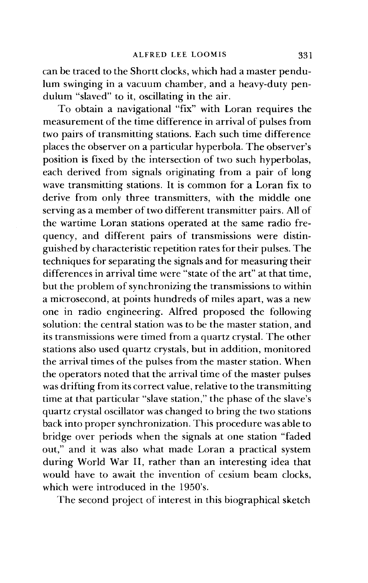can be traced to the Shortt clocks, which had a master pendulum swinging in a vacuum chamber, and a heavy-duty pendulum "slaved" to it, oscillating in the air.

To obtain a navigational "fix" with Loran requires the measurement of the time difference in arrival of pulses from two pairs of transmitting stations. Each such time difference places the observer on a particular hyperbola. The observer's position is fixed by the intersection of two such hyperbolas, each derived from signals originating from a pair of long wave transmitting stations. It is common for a Loran fix to derive from only three transmitters, with the middle one serving as a member of two different transmitter pairs. All of the wartime Loran stations operated at the same radio frequency, and different pairs of transmissions were distinguished by characteristic repetition rates for their pulses. The techniques for separating the signals and for measuring their differences in arrival time were "state of the art" at that time, but the problem of synchronizing the transmissions to within a microsecond, at points hundreds of miles apart, was a new one in radio engineering. Alfred proposed the following solution: the central station was to be the master station, and its transmissions were timed from a quartz crystal. The other stations also used quartz crystals, but in addition, monitored the arrival times of the pulses from the master station. When the operators noted that the arrival time of the master pulses was drifting from its correct value, relative to the transmitting time at that particular "slave station," the phase of the slave's quartz crystal oscillator was changed to bring the two stations back into proper synchronization. This procedure was able to bridge over periods when the signals at one station "faded out," and it was also what made Loran a practical system during World War II, rather than an interesting idea that would have to await the invention of cesium beam clocks, which were introduced in the 1950's.

The second project of interest in this biographical sketch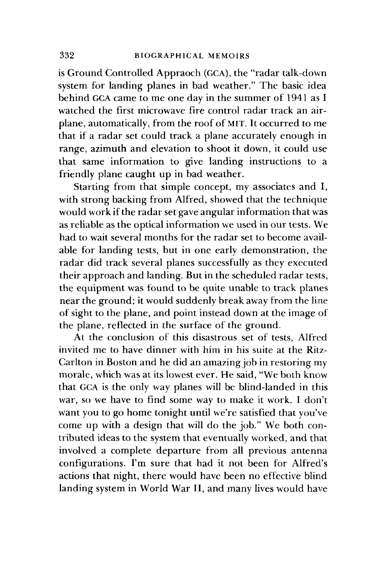is Ground Controlled Appraoch (GCA), the "radar talk-down system for landing planes in bad weather." The basic idea behind GCA came to me one day in the summer of 1941 as I watched the first microwave fire control radar track an airplane, automatically, from the roof of MIT. It occurred to me that if a radar set could track a plane accurately enough in range, azimuth and elevation to shoot it down, it could use that same information to give landing instructions to a friendly plane caught up in bad weather.

Starting from that simple concept, my associates and I, with strong backing from Alfred, showed that the technique would work if the radar set gave angular information that was as reliable as the optical information we used in our tests. We had to wait several months for the radar set to become available for landing tests, but in one early demonstration, the radar did track several planes successfully as they executed their approach and landing. But in the scheduled radar tests, the equipment was found to be quite unable to track planes near the ground; it would suddenly break away from the line of sight to the plane, and point instead down at the image of the plane, reflected in the surface of the ground.

At the conclusion of this disastrous set of tests, Alfred invited me to have dinner with him in his suite at the Ritz-Carlton in Boston and he did an amazing job in restoring my morale, which was at its lowest ever. He said, "We both know that GCA is the only way planes will be blind-landed in this war, so we have to find some way to make it work. I don't want you to go home tonight until we're satisfied that you've come up with a design that will do the job." We both contributed ideas to the system that eventually worked, and that involved a complete departure from all previous antenna configurations. I'm sure that had it not been for Alfred's actions that night, there would have been no effective blind landing system in World War II, and many lives would have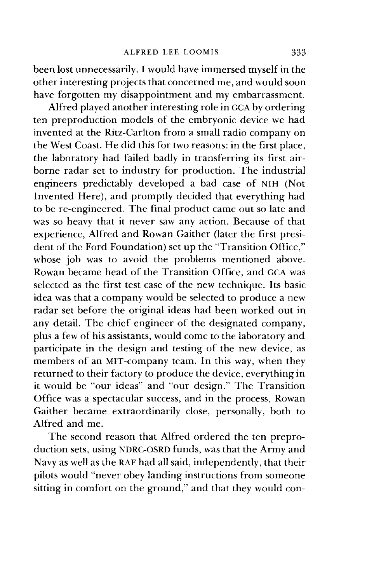been lost unnecessarily. I would have immersed myself in the other interesting projects that concerned me, and would soon have forgotten my disappointment and my embarrassment.

Alfred played another interesting role in GCA by ordering ten preproduction models of the embryonic device we had invented at the Ritz-Carlton from a small radio company on the West Coast. He did this for two reasons: in the first place, the laboratory had failed badly in transferring its first airborne radar set to industry for production. The industrial engineers predictably developed a bad case of NIH (Not Invented Here), and promptly decided that everything had to be re-engineered. The final product came out so late and was so heavy that it never saw any action. Because of that experience, Alfred and Rowan Gaither (later the first president of the Ford Foundation) set up the "Transition Office," whose job was to avoid the problems mentioned above. Rowan became head of the Transition Office, and GCA was selected as the first test case of the new technique. Its basic idea was that a company would be selected to produce a new radar set before the original ideas had been worked out in any detail. The chief engineer of the designated company, plus a few of his assistants, would come to the laboratory and participate in the design and testing of the new device, as members of an MIT-company team. In this way, when they returned to their factory to produce the device, everything in it would be "our ideas" and "our design." The Transition Office was a spectacular success, and in the process, Rowan Gaither became extraordinarily close, personally, both to Alfred and me.

The second reason that Alfred ordered the ten preproduction sets, using NDRC-OSRD funds, was that the Army and Navy as well as the RAF had all said, independently, that their pilots would "never obey landing instructions from someone sitting in comfort on the ground," and that they would con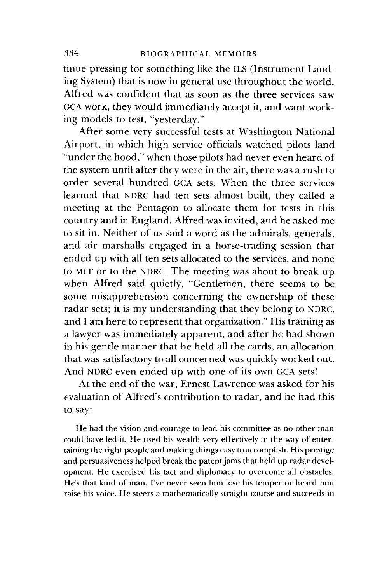tinue pressing for something like the ILS (Instrument Landing System) that is now in general use throughout the world. Alfred was confident that as soon as the three services saw GCA work, they would immediately accept it, and want working models to test, "yesterday."

After some very successful tests at Washington National Airport, in which high service officials watched pilots land "under the hood," when those pilots had never even heard of the system until after they were in the air, there was a rush to order several hundred GCA sets. When the three services learned that NDRC had ten sets almost built, they called a meeting at the Pentagon to allocate them for tests in this country and in England. Alfred was invited, and he asked me to sit in. Neither of us said a word as the admirals, generals, and air marshalls engaged in a horse-trading session that ended up with all ten sets allocated to the services, and none to MIT or to the NDRC. The meeting was about to break up when Alfred said quietly, "Gentlemen, there seems to be some misapprehension concerning the ownership of these radar sets; it is my understanding that they belong to NDRC, and I am here to represent that organization." His training as a lawyer was immediately apparent, and after he had shown in his gentle manner that he held all the cards, an allocation that was satisfactory to all concerned was quickly worked out. And NDRC even ended up with one of its own GCA sets!

At the end of the war, Ernest Lawrence was asked for his evaluation of Alfred's contribution to radar, and he had this to say:

He had the vision and courage to lead his committee as no other man could have led it. He used his wealth very effectively in the way of entertaining the right people and making things easy to accomplish. His prestige and persuasiveness helped break the patent jams that held up radar development. He exercised his tact and diplomacy to overcome all obstacles. He's that kind of man. I've never seen him lose his temper or heard him raise his voice. He steers a mathematically straight course and succeeds in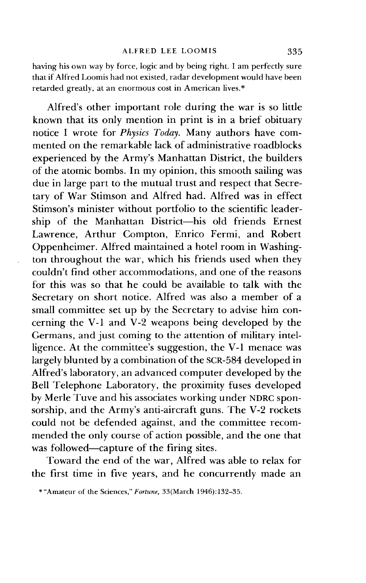having his own way by force, logic and by being right. I am perfectly sure that if Alfred Loomis had not existed, radar development would have been retarded greatly, at an enormous cost in American lives.\*

Alfred's other important role during the war is so little known that its only mention in print is in a brief obituary notice I wrote for *Physics Today.* Many authors have commented on the remarkable lack of administrative roadblocks experienced by the Army's Manhattan District, the builders of the atomic bombs. In my opinion, this smooth sailing was due in large part to the mutual trust and respect that Secretary of War Stimson and Alfred had. Alfred was in effect Stimson's minister without portfolio to the scientific leadership of the Manhattan District—his old friends Ernest Lawrence, Arthur Compton, Enrico Fermi, and Robert Oppenheimer. Alfred maintained a hotel room in Washington throughout the war, which his friends used when they couldn't find other accommodations, and one of the reasons for this was so that he could be available to talk with the Secretary on short notice. Alfred was also a member of a small committee set up by the Secretary to advise him concerning the V-l and V-2 weapons being developed by the Germans, and just coming to the attention of military intelligence. At the committee's suggestion, the V-l menace was largely blunted by a combination of the SCR-584 developed in Alfred's laboratory, an advanced computer developed by the Bell Telephone Laboratory, the proximity fuses developed by Merle Tuve and his associates working under NDRC sponsorship, and the Army's anti-aircraft guns. The V-2 rockets could not be defended against, and the committee recommended the only course of action possible, and the one that was followed—capture of the firing sites.

Toward the end of the war, Alfred was able to relax for the first time in five years, and he concurrently made an

<sup>\* &</sup>quot;Amateur of the Sciences," fortune, 33(March 1946): 132-35.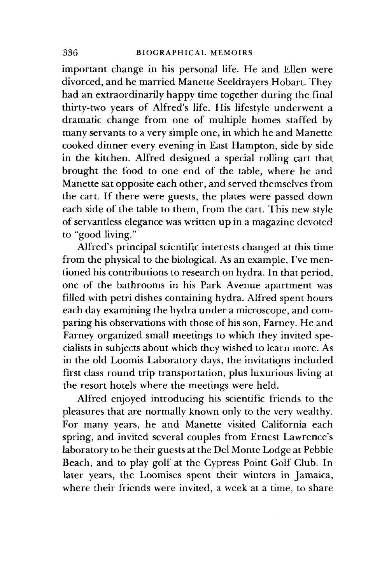important change in his personal life. He and Ellen were divorced, and he married Manette Seeldrayers Hobart. They had an extraordinarily happy time together during the final thirty-two years of Alfred's life. His lifestyle underwent a dramatic change from one of multiple homes staffed by many servants to a very simple one, in which he and Manette cooked dinner every evening in East Hampton, side by side in the kitchen. Alfred designed a special rolling cart that brought the food to one end of the table, where he and Manette sat opposite each other, and served themselves from the cart. If there were guests, the plates were passed down each side of the table to them, from the cart. This new style of servantless elegance was written up in a magazine devoted to "good living."

Alfred's principal scientific interests changed at this time from the physical to the biological. As an example, I've mentioned his contributions to research on hydra. In that period, one of the bathrooms in his Park Avenue apartment was filled with petri dishes containing hydra. Alfred spent hours each day examining the hydra under a microscope, and comparing his observations with those of his son, Farney. He and Farney organized small meetings to which they invited specialists in subjects about which they wished to learn more. As in the old Loomis Laboratory days, the invitations included first class round trip transportation, plus luxurious living at the resort hotels where the meetings were held.

Alfred enjoyed introducing his scientific friends to the pleasures that are normally known only to the very wealthy. For many years, he and Manette visited California each spring, and invited several couples from Ernest Lawrence's laboratory to be their guests at the Del Monte Lodge at Pebble Beach, and to play golf at the Cypress Point Golf Club. In later years, the Loomises spent their winters in Jamaica, where their friends were invited, a week at a time, to share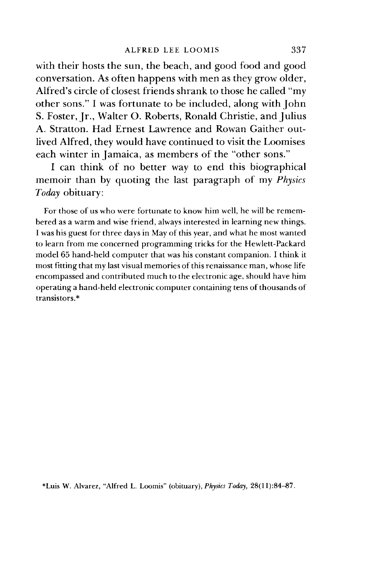with their hosts the sun, the beach, and good food and good conversation. As often happens with men as they grow older, Alfred's circle of closest friends shrank to those he called "my other sons." I was fortunate to be included, along with John S. Foster, Jr., Walter O. Roberts, Ronald Christie, and Julius A. Stratton. Had Ernest Lawrence and Rowan Gaither outlived Alfred, they would have continued to visit the Loomises each winter in Jamaica, as members of the "other sons."

I can think of no better way to end this biographical memoir than by quoting the last paragraph of my *Physics Today* obituary:

For those of us who were fortunate to know him well, he will be remembered as a warm and wise friend, always interested in learning new things. I was his guest for three days in May of this year, and what he most wanted to learn from me concerned programming tricks for the Hewlett-Packard model 65 hand-held computer that was his constant companion. I think it most fitting that my last visual memories of this renaissance man, whose life encompassed and contributed much to the electronic age, should have him operating a hand-held electronic computer containing tens of thousands of transistors.\*

\*Luis W. Alvarez, "Alfred L. Loomis" (obituary), *Physics Today,* 28(11):84-87.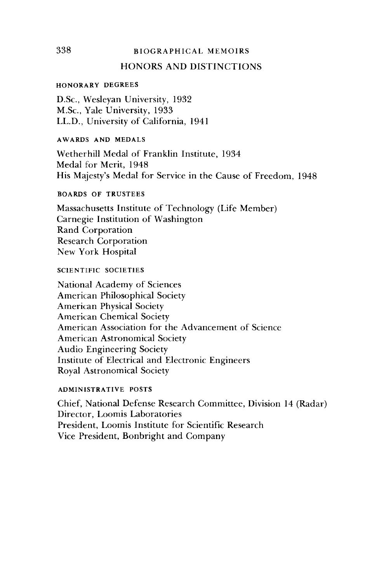## 338 BIOGRAPHICAL MEMOIRS

### HONORS AND DISTINCTIONS

#### HONORARY DEGREES

D.Sc, Wesleyan University, 1932 M.Sc, Yale University, 1933 LL.D., University of California, 1941

### AWARDS AND MEDALS

Wetherhill Medal of Franklin Institute, 1934 Medal for Merit, 1948 His Majesty's Medal for Service in the Cause of Freedom, 1948

#### BOARDS OF TRUSTEES

Massachusetts Institute of Technology (Life Member) Carnegie Institution of Washington Rand Corporation Research Corporation New York Hospital

#### SCIENTIFIC SOCIETIES

National Academy of Sciences American Philosophical Society American Physical Society American Chemical Society American Association for the Advancement of Science American Astronomical Society Audio Engineering Society Institute of Electrical and Electronic Engineers Royal Astronomical Society

## ADMINISTRATIVE POSTS

Chief, National Defense Research Committee, Division 14 (Radar) Director, Loomis Laboratories President, Loomis Institute for Scientific Research Vice President, Bonbright and Company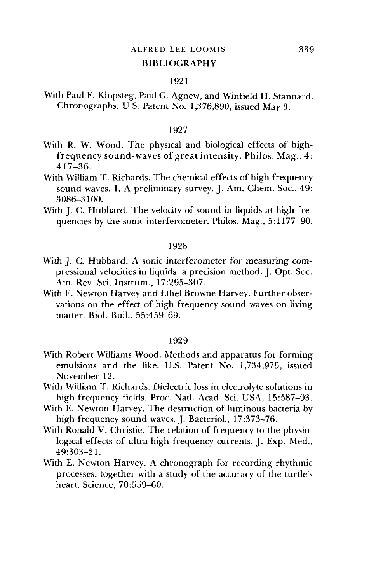### BIBLIOGRAPHY

#### 1921

## With Paul E. Klopsteg, Paul G. Agnew, and Winfield H. Stannard. Chronographs. U.S. Patent No. 1,376,890, issued May 3.

#### 1927

- With R. W. Wood. The physical and biological effects of highfrequency sound-waves of great intensity. Philos. Mag., 4: 417-36.
- With William T. Richards. The chemical effects of high frequency sound waves. I. A preliminary survey. J. Am. Chem. Soc., 49: 3086-3100.
- With J. C. Hubbard. The velocity of sound in liquids at high frequencies by the sonic interferometer. Philos. Mag., 5:1177-90.

### 1928

- With J. C. Hubbard. A sonic interferometer for measuring compressional velocities in liquids: a precision method. J. Opt. Soc. Am. Rev. Sci. Instrum., 17:295-307.
- With E. Newton Harvey and Ethel Browne Harvey. Further observations on the effect of high frequency sound waves on living matter. Biol. Bull., 55:459-69.

#### 1929

- With Robert Williams Wood. Methods and apparatus for forming emulsions and the like. U.S. Patent No. 1,734,975, issued November 12.
- With William T. Richards. Dielectric loss in electrolyte solutions in high frequency fields. Proc. Natl. Acad. Sci. USA, 15:587-93.
- With E. Newton Harvey. The destruction of luminous bacteria by high frequency sound waves. J. Bacteriol., 17:373-76.
- With Ronald V. Christie. The relation of frequency to the physiological effects of ultra-high frequency currents. J. Exp. Med., 49:303-21.
- With E. Newton Harvey. A chronograph for recording rhythmic processes, together with a study of the accuracy of the turtle's heart. Science, 70:559-60.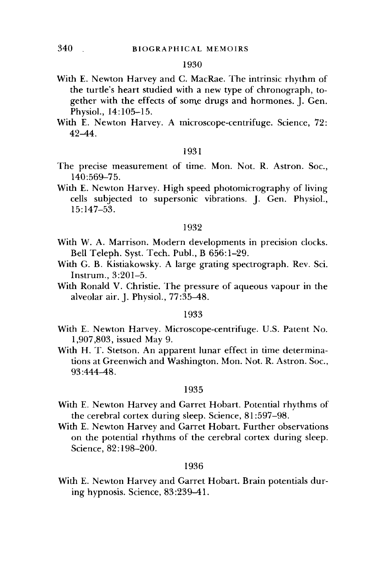#### 1930

- With E. Newton Harvey and C. MacRae. The intrinsic rhythm of the turtle's heart studied with a new type of chronograph, together with the effects of some drugs and hormones. I. Gen. Physiol., 14:105-15.
- With E. Newton Harvey. A microscope-centrifuge. Science, 72:  $49 - 44$

#### 1931

- The precise measurement of time. Mon. Not. R. Astron. Soc, 140:569-75.
- With E. Newton Harvey. High speed photomicrography of living cells subjected to supersonic vibrations. J. Gen. Physiol., 15:147-53.

#### 1932

- With W. A. Marrison. Modern developments in precision clocks. Bell Teleph. Syst. Tech. Publ., B 656:1-29.
- With G. B. Kistiakowsky. A large grating spectrograph. Rev. Sci. Instrum., 3:201-5.
- With Ronald V. Christie. The pressure of aqueous vapour in the alveolar air. J. Physiol.,  $77:\overline{3}5-48$ .

#### 1933

- With E. Newton Harvey. Microscope-centrifuge. U.S. Patent No. 1,907,803, issued May 9.
- With H. T. Stetson. An apparent lunar effect in time determinations at Greenwich and Washington. Mon. Not. R. Astron. Soc., 93:444-48.

#### 1935

- With E. Newton Harvey and Garret Hobart. Potential rhythms of the cerebral cortex during sleep. Science, 81:597-98.
- With E. Newton Harvey and Garret Hobart. Further observations on the potential rhythms of the cerebral cortex during sleep. Science, 82:198-200.

#### 1936

With E. Newton Harvey and Garret Hobart. Brain potentials during hypnosis. Science, 83:239-41.